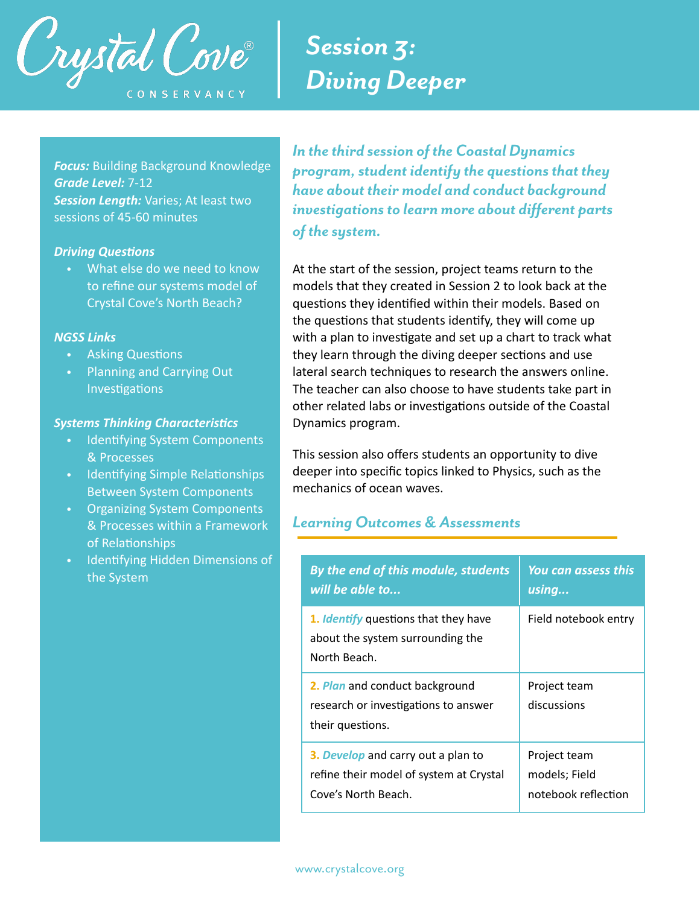

## *Session 3: Diving Deeper*

**Focus:** Building Background Knowledge *Grade Level:* 7-12 *Session Length:* Varies; At least two sessions of 45-60 minutes

#### **Driving Questions**

• What else do we need to know to refine our systems model of Crystal Cove's North Beach?

#### *NGSS Links*

- Asking Questions
- **Planning and Carrying Out** Investigations

#### **Systems Thinking Characteristics**

- **Identifying System Components** & Processes
- Identifying Simple Relationships Between System Components
- Organizing System Components & Processes within a Framework of Relationships
- Identifying Hidden Dimensions of the System

*In the third session of the Coastal Dynamics program, student identify the questions that they have about their model and conduct background investigations to learn more about different parts of the system.* 

At the start of the session, project teams return to the models that they created in Session 2 to look back at the questions they identified within their models. Based on the questions that students identify, they will come up with a plan to investigate and set up a chart to track what they learn through the diving deeper sections and use lateral search techniques to research the answers online. The teacher can also choose to have students take part in other related labs or investigations outside of the Coastal Dynamics program.

This session also offers students an opportunity to dive deeper into specific topics linked to Physics, such as the mechanics of ocean waves.

## *Learning Outcomes & Assessments*

| By the end of this module, students                                                             | <b>You can assess this</b>  |
|-------------------------------------------------------------------------------------------------|-----------------------------|
| will be able to                                                                                 | using                       |
| 1. <i>Identify</i> questions that they have<br>about the system surrounding the<br>North Beach. | Field notebook entry        |
| 2. Plan and conduct background<br>research or investigations to answer<br>their questions.      | Project team<br>discussions |
| 3. Develop and carry out a plan to                                                              | Project team                |
| refine their model of system at Crystal                                                         | models; Field               |
| Cove's North Beach.                                                                             | notebook reflection         |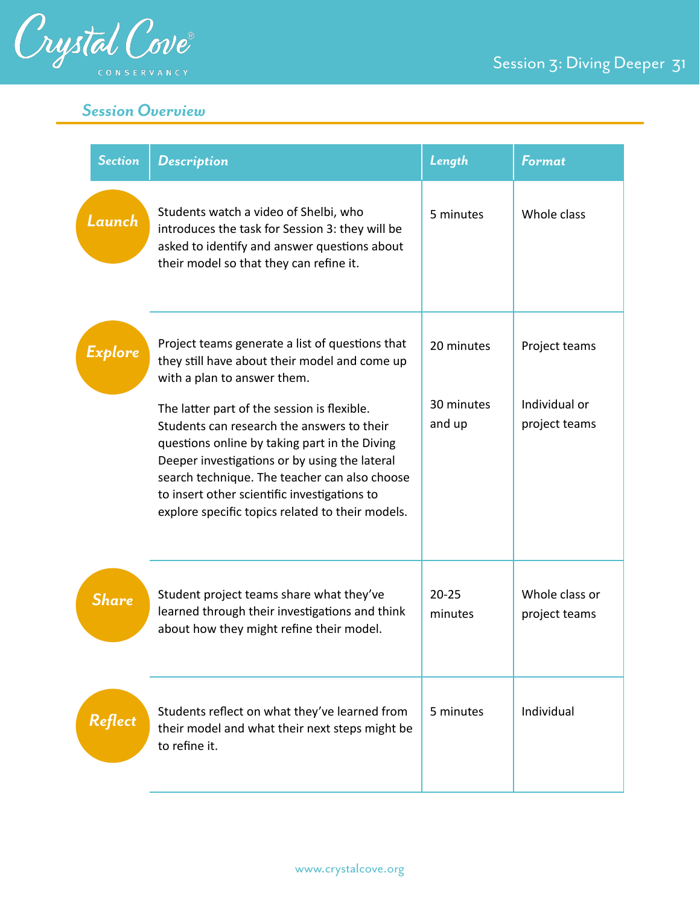

## *Session Overview*

| <b>Section</b> | <b>Description</b>                                                                                                                                                                                                                                                                                                                                                                                                                                                                  | Length                             | <b>Format</b>                                   |
|----------------|-------------------------------------------------------------------------------------------------------------------------------------------------------------------------------------------------------------------------------------------------------------------------------------------------------------------------------------------------------------------------------------------------------------------------------------------------------------------------------------|------------------------------------|-------------------------------------------------|
| Launch         | Students watch a video of Shelbi, who<br>introduces the task for Session 3: they will be<br>asked to identify and answer questions about<br>their model so that they can refine it.                                                                                                                                                                                                                                                                                                 | 5 minutes                          | Whole class                                     |
| Explore        | Project teams generate a list of questions that<br>they still have about their model and come up<br>with a plan to answer them.<br>The latter part of the session is flexible.<br>Students can research the answers to their<br>questions online by taking part in the Diving<br>Deeper investigations or by using the lateral<br>search technique. The teacher can also choose<br>to insert other scientific investigations to<br>explore specific topics related to their models. | 20 minutes<br>30 minutes<br>and up | Project teams<br>Individual or<br>project teams |
| <b>Share</b>   | Student project teams share what they've<br>learned through their investigations and think<br>about how they might refine their model.                                                                                                                                                                                                                                                                                                                                              | $20 - 25$<br>minutes               | Whole class or<br>project teams                 |
| Reflect        | Students reflect on what they've learned from<br>their model and what their next steps might be<br>to refine it.                                                                                                                                                                                                                                                                                                                                                                    | 5 minutes                          | Individual                                      |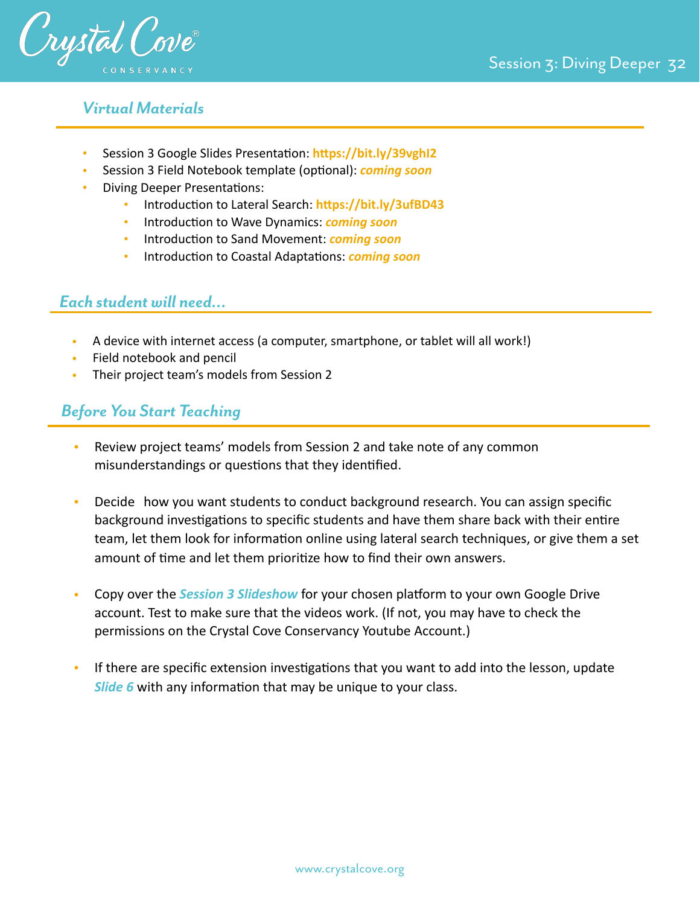

## *Virtual Materials*

- Session 3 Google Slides Presentation: https://bit.ly/39vghI2
- Session 3 Field Notebook template (optional): *coming soon*
- **Diving Deeper Presentations:** 
	- Introduction to Lateral Search: https://bit.ly/3ufBD43
	- Introduction to Wave Dynamics: *coming soon*
	- Introduction to Sand Movement: *coming soon*
	- Introduction to Coastal Adaptations: *coming soon*

## *Each student will need…*

- A device with internet access (a computer, smartphone, or tablet will all work!)
- Field notebook and pencil
- Their project team's models from Session 2

## *Before You Start Teaching*

- Review project teams' models from Session 2 and take note of any common misunderstandings or questions that they identified.
- Decide how you want students to conduct background research. You can assign specific background investigations to specific students and have them share back with their entire team, let them look for information online using lateral search techniques, or give them a set amount of time and let them prioritize how to find their own answers.
- Copy over the *Session 3 Slideshow* for your chosen platform to your own Google Drive account. Test to make sure that the videos work. (If not, you may have to check the permissions on the Crystal Cove Conservancy Youtube Account.)
- If there are specific extension investigations that you want to add into the lesson, update *Slide 6* with any information that may be unique to your class.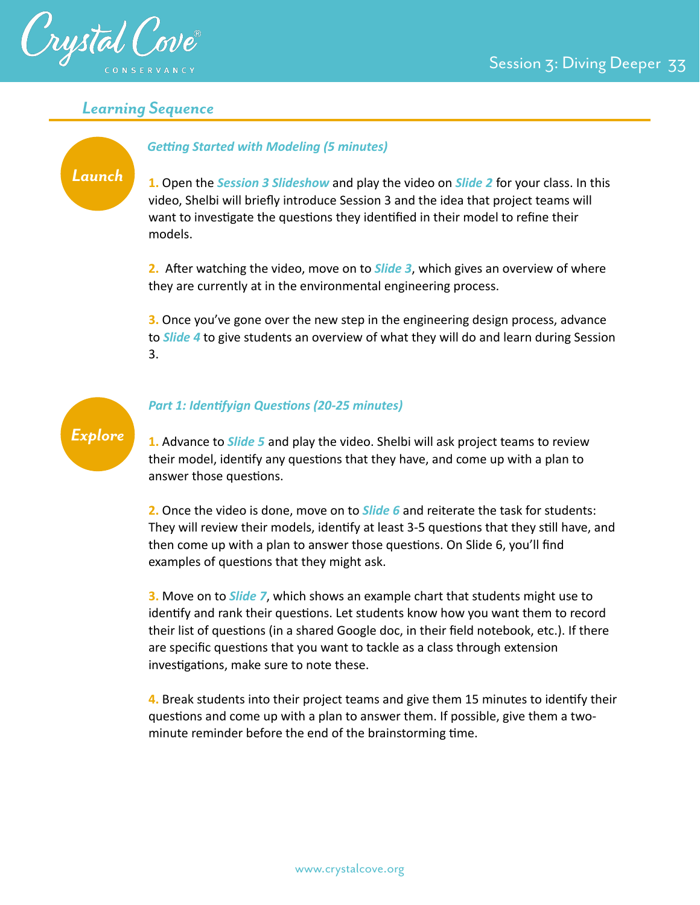

## *Learning Sequence*

## *Launch*

**Getting Started with Modeling (5 minutes)** 

**1.** Open the *Session 3 Slideshow* and play the video on *Slide 2* for your class. In this video, Shelbi will briefly introduce Session 3 and the idea that project teams will want to investigate the questions they identified in their model to refine their models.

**2.** After watching the video, move on to *Slide 3*, which gives an overview of where they are currently at in the environmental engineering process.

**3.** Once you've gone over the new step in the engineering design process, advance to *Slide 4* to give students an overview of what they will do and learn during Session 3.



#### **Part 1: Identifyign Questions (20-25 minutes)**

**1.** Advance to *Slide 5* and play the video. Shelbi will ask project teams to review their model, identify any questions that they have, and come up with a plan to answer those questions.

**2.** Once the video is done, move on to *Slide 6* and reiterate the task for students: They will review their models, identify at least 3-5 questions that they still have, and then come up with a plan to answer those questions. On Slide 6, you'll find examples of questions that they might ask.

**3.** Move on to *Slide 7*, which shows an example chart that students might use to identify and rank their questions. Let students know how you want them to record their list of questions (in a shared Google doc, in their field notebook, etc.). If there are specific questions that you want to tackle as a class through extension investigations, make sure to note these.

**4.** Break students into their project teams and give them 15 minutes to identify their questions and come up with a plan to answer them. If possible, give them a twominute reminder before the end of the brainstorming time.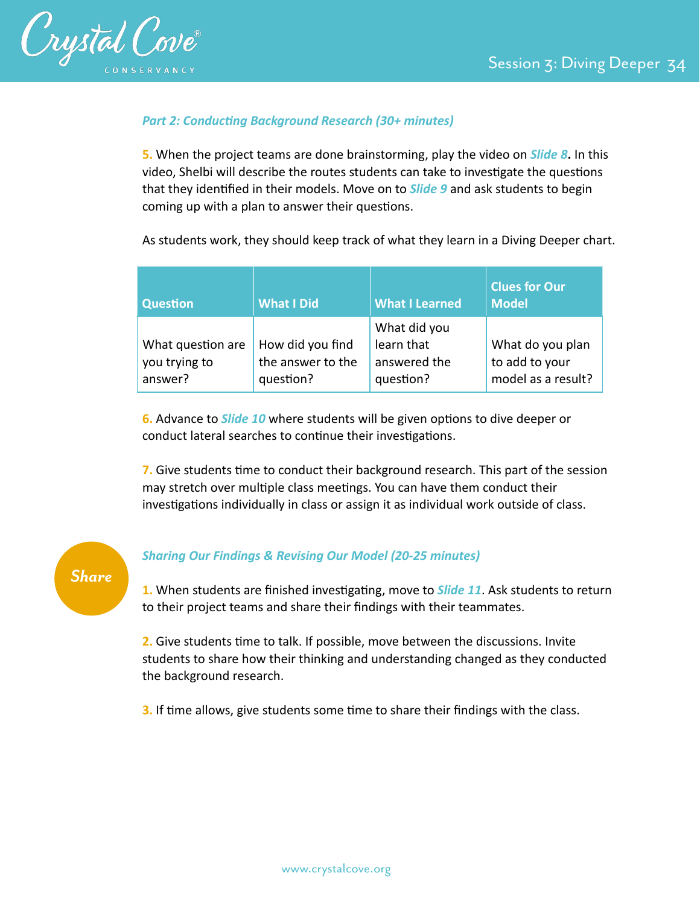

### **Part 2: Conducting Background Research (30+ minutes)**

**5.** When the project teams are done brainstorming, play the video on *Slide 8***.** In this video, Shelbi will describe the routes students can take to investigate the questions that they identified in their models. Move on to **Slide 9** and ask students to begin coming up with a plan to answer their questions.

As students work, they should keep track of what they learn in a Diving Deeper chart.

| <b>Question</b>                               | <b>What I Did</b>                                  | <b>What I Learned</b>                                   | <b>Clues for Our</b><br><b>Model</b>                     |
|-----------------------------------------------|----------------------------------------------------|---------------------------------------------------------|----------------------------------------------------------|
| What question are<br>you trying to<br>answer? | How did you find<br>the answer to the<br>question? | What did you<br>learn that<br>answered the<br>question? | What do you plan<br>to add to your<br>model as a result? |

**6.** Advance to *Slide 10* where students will be given options to dive deeper or conduct lateral searches to continue their investigations.

**7.** Give students time to conduct their background research. This part of the session may stretch over multiple class meetings. You can have them conduct their investigations individually in class or assign it as individual work outside of class.

# *Share*

#### *Sharing Our Findings & Revising Our Model (20-25 minutes)*

1. When students are finished investigating, move to *Slide 11*. Ask students to return to their project teams and share their findings with their teammates.

**2.** Give students time to talk. If possible, move between the discussions. Invite students to share how their thinking and understanding changed as they conducted the background research.

**3.** If time allows, give students some time to share their findings with the class.